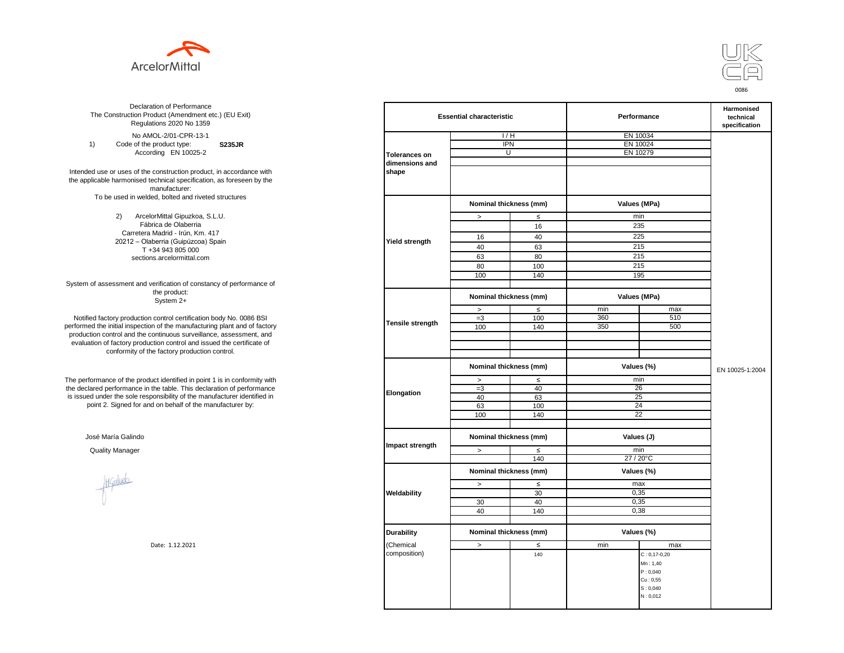



**S235JR** No AMOL-2/01-CPR-13-1 1) Code of the product type: According EN 10025-2

Intended use or uses of the construction product, in accordance with the applicable harmonised technical specification, as foreseen by the manufacturer: To be used in welded, bolted and riveted structures

> 2) ArcelorMittal Gipuzkoa, S.L.U. Fábrica de Olaberria Carretera Madrid - Irún, Km. 417 20212 – Olaberria (Guipúzcoa) Spain T +34 943 805 000 sections.arcelormittal.com

System of assessment and verification of constancy of performance of the product: System 2+

Notified factory production control certification body No. 0086 BSI performed the initial inspection of the manufacturing plant and of factory production control and the continuous surveillance, assessment, and evaluation of factory production control and issued the certificate of conformity of the factory production control.

The performance of the product identified in point 1 is in conformity with the declared performance in the table. This declaration of performance is issued under the sole responsibility of the manufacturer identified in point 2. Signed for and on behalf of the manufacturer by:

José María Galindo

Healudo

| ation of Performance<br>oduct (Amendment etc.) (EU Exit)<br>ations 2020 No 1359 |                      | <b>Essential characteristic</b> |        |            | Performance        |                 |  |
|---------------------------------------------------------------------------------|----------------------|---------------------------------|--------|------------|--------------------|-----------------|--|
| 10L-2/01-CPR-13-1                                                               |                      | 1/H                             |        |            | EN 10034           |                 |  |
| product type:<br><b>S235JR</b>                                                  |                      | <b>IPN</b>                      |        | EN 10024   |                    |                 |  |
| rding EN 10025-2                                                                | <b>Tolerances on</b> | $\overline{U}$                  |        |            | EN 10279           |                 |  |
|                                                                                 | dimensions and       |                                 |        |            |                    |                 |  |
| construction product, in accordance with                                        | shape                |                                 |        |            |                    |                 |  |
| echnical specification, as foreseen by the                                      |                      |                                 |        |            |                    |                 |  |
| manufacturer:                                                                   |                      |                                 |        |            |                    |                 |  |
| ed, bolted and riveted structures                                               |                      |                                 |        |            |                    |                 |  |
|                                                                                 |                      | Nominal thickness (mm)          |        |            | Values (MPa)       |                 |  |
|                                                                                 |                      |                                 |        |            |                    |                 |  |
| orMittal Gipuzkoa, S.L.U.<br>rica de Olaberria                                  |                      | $\, >$                          | $\leq$ |            | min                |                 |  |
|                                                                                 |                      |                                 | 16     |            | 235                |                 |  |
| Madrid - Irún, Km. 417                                                          |                      | 16                              | 40     |            | 225                |                 |  |
| berria (Guipúzcoa) Spain<br>-34 943 805 000                                     | Yield strength       | 40                              | 63     | 215        |                    |                 |  |
|                                                                                 |                      | 63                              | 80     |            | 215                |                 |  |
| ns.arcelormittal.com                                                            |                      |                                 |        |            | 215                |                 |  |
|                                                                                 |                      | 80                              | 100    |            |                    |                 |  |
|                                                                                 |                      | 100                             | 140    |            | 195                |                 |  |
| verification of constancy of performance of<br>the product:                     |                      |                                 |        |            |                    |                 |  |
| System 2+                                                                       |                      | Nominal thickness (mm)          |        |            | Values (MPa)       |                 |  |
|                                                                                 |                      | $\, >$                          | $\leq$ | min        | max                |                 |  |
| control certification body No. 0086 BSI                                         | Tensile strength     | $=3$                            | 100    | 360        | 510                |                 |  |
| in of the manufacturing plant and of factory                                    |                      | 100                             | 140    | 350        | 500                |                 |  |
| ontinuous surveillance, assessment, and                                         |                      |                                 |        |            |                    |                 |  |
| ction control and issued the certificate of                                     |                      |                                 |        |            |                    |                 |  |
| e factory production control.                                                   |                      |                                 |        |            |                    |                 |  |
|                                                                                 |                      | Nominal thickness (mm)          |        |            | Values (%)         | EN 10025-1:2004 |  |
|                                                                                 |                      |                                 |        |            |                    |                 |  |
| uct identified in point 1 is in conformity with                                 |                      | $\, >$                          | $\leq$ | min        |                    |                 |  |
| the table. This declaration of performance                                      | Elongation           | $=3$                            | 40     | 26         |                    |                 |  |
| ponsibility of the manufacturer identified in                                   |                      | 40                              | 63     | 25         |                    |                 |  |
| d on behalf of the manufacturer by:                                             |                      | 63                              | 100    |            | 24                 |                 |  |
|                                                                                 |                      | 100                             | 140    |            | $\overline{22}$    |                 |  |
|                                                                                 |                      |                                 |        |            |                    |                 |  |
|                                                                                 |                      | Nominal thickness (mm)          |        | Values (J) |                    |                 |  |
|                                                                                 | Impact strength      |                                 |        |            |                    |                 |  |
|                                                                                 |                      | $\geq$                          | $\leq$ | min        |                    |                 |  |
|                                                                                 |                      |                                 | 140    |            | 27 / 20°C          |                 |  |
|                                                                                 |                      | Nominal thickness (mm)          |        |            | Values (%)         |                 |  |
|                                                                                 |                      |                                 |        |            |                    |                 |  |
|                                                                                 |                      | $\,>$                           | $\leq$ | max        |                    |                 |  |
|                                                                                 | Weldability          |                                 | 30     | 0,35       |                    |                 |  |
|                                                                                 |                      | 30                              | 40     |            | 0,35               |                 |  |
|                                                                                 |                      | 40                              | 140    |            | 0,38               |                 |  |
|                                                                                 |                      |                                 |        |            |                    |                 |  |
|                                                                                 | <b>Durability</b>    | Nominal thickness (mm)          |        |            | Values (%)         |                 |  |
| Date: 1.12.2021                                                                 | Chemical             |                                 |        | min        | max                |                 |  |
|                                                                                 | composition)         | $\, > \,$                       | $\leq$ |            |                    |                 |  |
|                                                                                 |                      |                                 | 140    |            | $C: 0, 17 - 0, 20$ |                 |  |
|                                                                                 |                      |                                 |        |            | Mn: 1,40           |                 |  |
|                                                                                 |                      |                                 |        |            | P: 0,040           |                 |  |
|                                                                                 |                      |                                 |        |            | Cu: 0,55           |                 |  |
|                                                                                 |                      |                                 |        |            | S: 0,040           |                 |  |
|                                                                                 |                      |                                 |        |            | N: 0,012           |                 |  |
|                                                                                 |                      |                                 |        |            |                    |                 |  |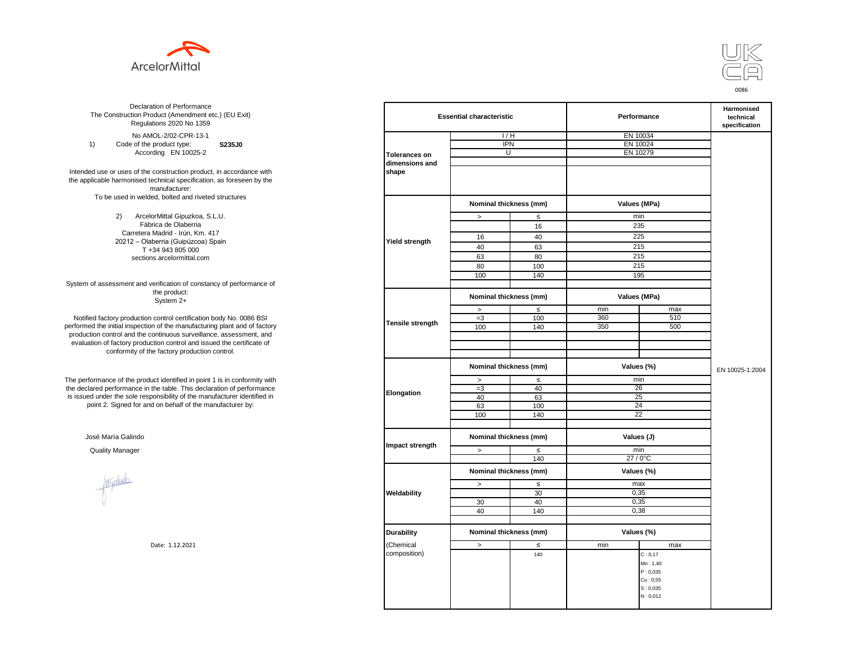



**S235J0** No AMOL-2/02-CPR-13-1 1) Code of the product type: According EN 10025-2

Intended use or uses of the construction product, in accordance with the applicable harmonised technical specification, as foreseen by the manufacturer: To be used in welded, bolted and riveted structures

> 2) ArcelorMittal Gipuzkoa, S.L.U. Fábrica de Olaberria Carretera Madrid - Irún, Km. 417 20212 – Olaberria (Guipúzcoa) Spain T +34 943 805 000 sections.arcelormittal.com

System of assessment and verification of constancy of performance of the product: System 2+

Notified factory production control certification body No. 0086 BSI performed the initial inspection of the manufacturing plant and of factory production control and the continuous surveillance, assessment, and evaluation of factory production control and issued the certificate of conformity of the factory production control.

The performance of the product identified in point 1 is in conformity with the declared performance in the table. This declaration of performance is issued under the sole responsibility of the manufacturer identified in point 2. Signed for and on behalf of the manufacturer by:

José María Galindo

Healudo

| ation of Performance<br>oduct (Amendment etc.) (EU Exit)<br>ations 2020 No 1359 |                      | <b>Essential characteristic</b> |        |            | Performance     |                 |  |
|---------------------------------------------------------------------------------|----------------------|---------------------------------|--------|------------|-----------------|-----------------|--|
| 10L-2/02-CPR-13-1                                                               |                      | 1/H                             |        |            | EN 10034        |                 |  |
| product type:<br>S235J0                                                         |                      | <b>IPN</b>                      |        | EN 10024   |                 |                 |  |
| rding EN 10025-2                                                                | <b>Tolerances on</b> | $\overline{U}$                  |        |            | EN 10279        |                 |  |
|                                                                                 | dimensions and       |                                 |        |            |                 |                 |  |
| construction product, in accordance with                                        | shape                |                                 |        |            |                 |                 |  |
| echnical specification, as foreseen by the                                      |                      |                                 |        |            |                 |                 |  |
| manufacturer:                                                                   |                      |                                 |        |            |                 |                 |  |
| ed, bolted and riveted structures                                               |                      |                                 |        |            |                 |                 |  |
|                                                                                 |                      | Nominal thickness (mm)          |        |            | Values (MPa)    |                 |  |
|                                                                                 |                      |                                 |        |            |                 |                 |  |
| orMittal Gipuzkoa, S.L.U.<br>rica de Olaberria                                  |                      | $\, >$                          | $\leq$ |            | min             |                 |  |
| Madrid - Irún, Km. 417                                                          |                      |                                 | 16     |            | 235             |                 |  |
| berria (Guipúzcoa) Spain                                                        | Yield strength       | 16                              | 40     |            | 225             |                 |  |
| -34 943 805 000                                                                 |                      | 40                              | 63     | 215        |                 |                 |  |
| ns.arcelormittal.com                                                            |                      | 63                              | 80     |            | 215             |                 |  |
|                                                                                 |                      | 80                              | 100    |            | 215             |                 |  |
|                                                                                 |                      |                                 |        |            | 195             |                 |  |
|                                                                                 |                      | 100                             | 140    |            |                 |                 |  |
| verification of constancy of performance of<br>the product:                     |                      | Nominal thickness (mm)          |        |            | Values (MPa)    |                 |  |
| System 2+                                                                       |                      |                                 |        |            |                 |                 |  |
|                                                                                 |                      | $\, >$                          | $\leq$ | min        | max             |                 |  |
| control certification body No. 0086 BSI                                         | Tensile strength     | $=3$                            | 100    | 360        | 510             |                 |  |
| in of the manufacturing plant and of factory                                    |                      | 100                             | 140    | 350        | 500             |                 |  |
| ontinuous surveillance, assessment, and                                         |                      |                                 |        |            |                 |                 |  |
| ction control and issued the certificate of                                     |                      |                                 |        |            |                 |                 |  |
| e factory production control.                                                   |                      |                                 |        |            |                 |                 |  |
|                                                                                 |                      | Nominal thickness (mm)          |        |            | Values (%)      | EN 10025-1:2004 |  |
| uct identified in point 1 is in conformity with                                 |                      | $\, >$                          | $\leq$ | min        |                 |                 |  |
| the table. This declaration of performance                                      | Elongation           | $=3$                            | 40     | 26         |                 |                 |  |
| ponsibility of the manufacturer identified in                                   |                      | 40                              | 63     | 25         |                 |                 |  |
| d on behalf of the manufacturer by:                                             |                      | 63                              | 100    |            | 24              |                 |  |
|                                                                                 |                      | 100                             | 140    |            | $\overline{22}$ |                 |  |
|                                                                                 |                      |                                 |        |            |                 |                 |  |
|                                                                                 |                      | Nominal thickness (mm)          |        | Values (J) |                 |                 |  |
|                                                                                 | Impact strength      | $\geq$                          | $\leq$ | min        |                 |                 |  |
|                                                                                 |                      |                                 | 140    |            | 27 / 0°C        |                 |  |
|                                                                                 |                      |                                 |        |            |                 |                 |  |
|                                                                                 |                      | Nominal thickness (mm)          |        |            | Values (%)      |                 |  |
|                                                                                 |                      | $\,>$                           | $\leq$ | max        |                 |                 |  |
|                                                                                 | Weldability          |                                 | 30     | 0,35       |                 |                 |  |
|                                                                                 |                      | 30                              | 40     |            | 0,35            |                 |  |
|                                                                                 |                      | 40                              | 140    |            | 0,38            |                 |  |
|                                                                                 |                      |                                 |        |            |                 |                 |  |
|                                                                                 |                      |                                 |        |            |                 |                 |  |
|                                                                                 | <b>Durability</b>    | Nominal thickness (mm)          |        |            | Values (%)      |                 |  |
| Date: 1.12.2021                                                                 | Chemical             | $\, > \,$                       | $\leq$ | min        | max             |                 |  |
|                                                                                 | composition)         |                                 | 140    |            | C: 0, 17        |                 |  |
|                                                                                 |                      |                                 |        |            | Mn: 1,40        |                 |  |
|                                                                                 |                      |                                 |        |            | P: 0,035        |                 |  |
|                                                                                 |                      |                                 |        |            | Cu: 0,55        |                 |  |
|                                                                                 |                      |                                 |        |            | S: 0,035        |                 |  |
|                                                                                 |                      |                                 |        |            | N: 0,012        |                 |  |
|                                                                                 |                      |                                 |        |            |                 |                 |  |
|                                                                                 |                      |                                 |        |            |                 |                 |  |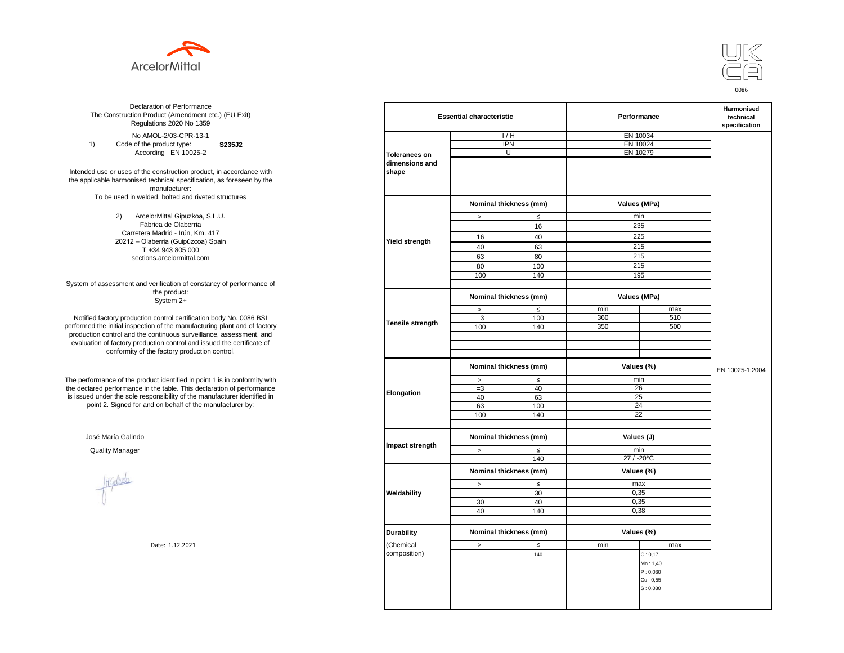



**S235J2** No AMOL-2/03-CPR-13-1 1) Code of the product type: According EN 10025-2

Intended use or uses of the construction product, in accordance with the applicable harmonised technical specification, as foreseen by the manufacturer: To be used in welded, bolted and riveted structures

> 2) ArcelorMittal Gipuzkoa, S.L.U. Fábrica de Olaberria Carretera Madrid - Irún, Km. 417 20212 – Olaberria (Guipúzcoa) Spain T +34 943 805 000 sections.arcelormittal.com

System of assessment and verification of constancy of performance of the product: System 2+

Notified factory production control certification body No. 0086 BSI performed the initial inspection of the manufacturing plant and of factory production control and the continuous surveillance, assessment, and evaluation of factory production control and issued the certificate of conformity of the factory production control.

The performance of the product identified in point 1 is in conformity with the declared performance in the table. This declaration of performance is issued under the sole responsibility of the manufacturer identified in point 2. Signed for and on behalf of the manufacturer by:

José María Galindo

Haludo

| ation of Performance<br>oduct (Amendment etc.) (EU Exit)<br>ations 2020 No 1359 |                         | <b>Essential characteristic</b> |        |              | Performance          | Harmonised<br>technical<br>specification |
|---------------------------------------------------------------------------------|-------------------------|---------------------------------|--------|--------------|----------------------|------------------------------------------|
| 10L-2/03-CPR-13-1                                                               |                         | 1/H                             |        | EN 10034     |                      |                                          |
| product type:<br>S235J2                                                         |                         | <b>IPN</b>                      |        | EN 10024     |                      |                                          |
| rding EN 10025-2                                                                | <b>Tolerances on</b>    | $\overline{U}$                  |        | EN 10279     |                      |                                          |
|                                                                                 | dimensions and          |                                 |        |              |                      |                                          |
| construction product, in accordance with                                        | shape                   |                                 |        |              |                      |                                          |
| echnical specification, as foreseen by the                                      |                         |                                 |        |              |                      |                                          |
| manufacturer:                                                                   |                         |                                 |        |              |                      |                                          |
| ed, bolted and riveted structures                                               |                         |                                 |        |              |                      |                                          |
|                                                                                 |                         | Nominal thickness (mm)          |        | Values (MPa) |                      |                                          |
|                                                                                 |                         |                                 |        |              |                      |                                          |
| orMittal Gipuzkoa, S.L.U.<br>rica de Olaberria                                  |                         | $\,>\,$                         | $\leq$ | min          | 235                  |                                          |
| Madrid - Irún, Km. 417                                                          |                         |                                 | 16     |              |                      |                                          |
| berria (Guipúzcoa) Spain                                                        | <b>Yield strength</b>   | 16                              | 40     |              | 225                  |                                          |
| -34 943 805 000                                                                 |                         | 40                              | 63     |              | 215                  |                                          |
| ns.arcelormittal.com                                                            |                         | 63                              | 80     |              | 215                  |                                          |
|                                                                                 |                         | 80                              | 100    |              | 215                  |                                          |
|                                                                                 |                         | 100                             | 140    |              | 195                  |                                          |
|                                                                                 |                         |                                 |        |              |                      |                                          |
| verification of constancy of performance of<br>the product:<br>System 2+        |                         | Nominal thickness (mm)          |        |              | Values (MPa)         |                                          |
|                                                                                 |                         | $\, >$                          | $\leq$ | min          | max                  |                                          |
| control certification body No. 0086 BSI                                         |                         | $=3$                            | 100    | 360          | 510                  |                                          |
| in of the manufacturing plant and of factory                                    | <b>Tensile strength</b> |                                 |        |              | 500                  |                                          |
| ontinuous surveillance, assessment, and                                         |                         | 100                             | 140    | 350          |                      |                                          |
| ction control and issued the certificate of                                     |                         |                                 |        |              |                      |                                          |
| e factory production control.                                                   |                         |                                 |        |              |                      |                                          |
|                                                                                 |                         |                                 |        |              |                      |                                          |
|                                                                                 |                         | Nominal thickness (mm)          |        | Values (%)   |                      | EN 10025-1:2004                          |
| uct identified in point 1 is in conformity with                                 |                         | $\,>$                           | $\leq$ | min          |                      |                                          |
| the table. This declaration of performance                                      | Elongation              | $=3$                            | 40     |              | 26                   |                                          |
| ponsibility of the manufacturer identified in                                   |                         | 40                              | 63     |              | 25                   |                                          |
| d on behalf of the manufacturer by:                                             |                         | 63                              | 100    |              | 24                   |                                          |
|                                                                                 |                         | 100                             | 140    |              | $\overline{22}$      |                                          |
|                                                                                 |                         |                                 |        |              |                      |                                          |
|                                                                                 |                         | Nominal thickness (mm)          |        | Values (J)   |                      |                                          |
|                                                                                 | Impact strength         |                                 |        |              |                      |                                          |
|                                                                                 |                         | $\, >$                          | $\leq$ |              | min                  |                                          |
|                                                                                 |                         |                                 | 140    |              | 27 / -20°C           |                                          |
|                                                                                 |                         | Nominal thickness (mm)          |        | Values (%)   |                      |                                          |
|                                                                                 |                         |                                 |        |              |                      |                                          |
|                                                                                 |                         | $\, >$                          | $\leq$ | max          |                      |                                          |
|                                                                                 | Weldability             |                                 | 30     | 0,35         |                      |                                          |
|                                                                                 |                         | 30                              | 40     | 0,35         |                      |                                          |
|                                                                                 |                         | 40                              | 140    |              | 0,38                 |                                          |
|                                                                                 |                         |                                 |        |              |                      |                                          |
|                                                                                 | <b>Durability</b>       | Nominal thickness (mm)          |        | Values (%)   |                      |                                          |
| Date: 1.12.2021                                                                 | (Chemical               | $\, >$                          | $\leq$ | min          | max                  |                                          |
|                                                                                 | composition)            |                                 | 140    |              | C: 0, 17             |                                          |
|                                                                                 |                         |                                 |        |              |                      |                                          |
|                                                                                 |                         |                                 |        |              | Mn: 1,40             |                                          |
|                                                                                 |                         |                                 |        |              | P: 0,030<br>Cu: 0,55 |                                          |
|                                                                                 |                         |                                 |        |              | S: 0,030             |                                          |
|                                                                                 |                         |                                 |        |              |                      |                                          |
|                                                                                 |                         |                                 |        |              |                      |                                          |
|                                                                                 |                         |                                 |        |              |                      |                                          |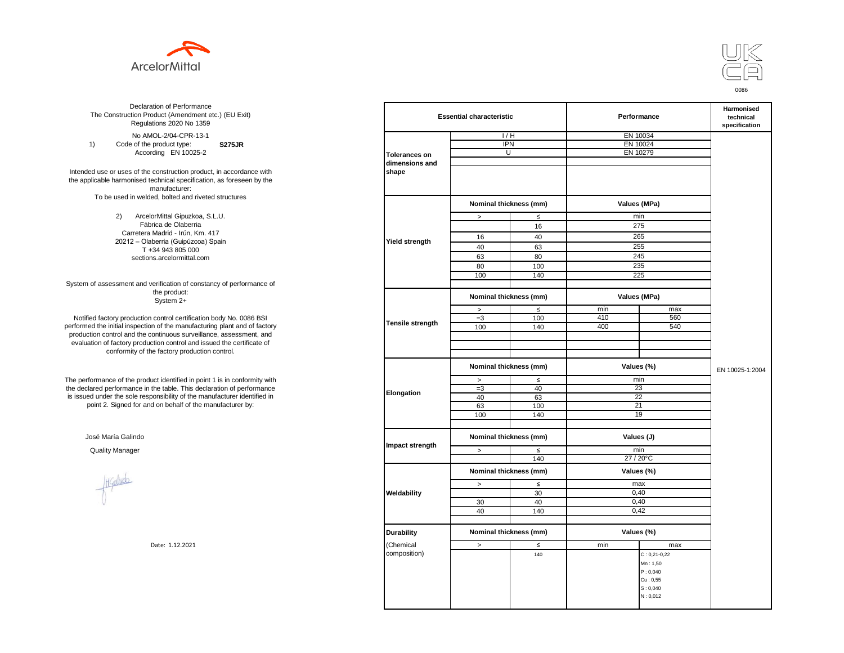



**S275JR** No AMOL-2/04-CPR-13-1 1) Code of the product type: According EN 10025-2

Intended use or uses of the construction product, in accordance with the applicable harmonised technical specification, as foreseen by the manufacturer: To be used in welded, bolted and riveted structures

> 2) ArcelorMittal Gipuzkoa, S.L.U. Fábrica de Olaberria Carretera Madrid - Irún, Km. 417 20212 – Olaberria (Guipúzcoa) Spain T +34 943 805 000 sections.arcelormittal.com

System of assessment and verification of constancy of performance of the product: System 2+

Notified factory production control certification body No. 0086 BSI performed the initial inspection of the manufacturing plant and of factory production control and the continuous surveillance, assessment, and evaluation of factory production control and issued the certificate of conformity of the factory production control.

The performance of the product identified in point 1 is in conformity with the declared performance in the table. This declaration of performance is issued under the sole responsibility of the manufacturer identified in point 2. Signed for and on behalf of the manufacturer by:

José María Galindo

Healudo

| ation of Performance<br>oduct (Amendment etc.) (EU Exit)<br>ations 2020 No 1359 | <b>Essential characteristic</b> |                        |                                      | Performance | Harmonised<br>technical<br>specification |                 |
|---------------------------------------------------------------------------------|---------------------------------|------------------------|--------------------------------------|-------------|------------------------------------------|-----------------|
| 10L-2/04-CPR-13-1                                                               |                                 | 1/H                    |                                      | EN 10034    |                                          |                 |
| product type:<br><b>S275JR</b>                                                  |                                 | <b>IPN</b>             |                                      | EN 10024    |                                          |                 |
| rding EN 10025-2                                                                | <b>Tolerances on</b>            | $\overline{U}$         |                                      |             | EN 10279                                 |                 |
|                                                                                 | dimensions and                  |                        |                                      |             |                                          |                 |
| construction product, in accordance with                                        | shape                           |                        |                                      |             |                                          |                 |
| echnical specification, as foreseen by the                                      |                                 |                        |                                      |             |                                          |                 |
| manufacturer:                                                                   |                                 |                        |                                      |             |                                          |                 |
| ed, bolted and riveted structures                                               |                                 |                        |                                      |             |                                          |                 |
|                                                                                 |                                 | Nominal thickness (mm) |                                      |             | Values (MPa)                             |                 |
|                                                                                 |                                 |                        |                                      |             |                                          |                 |
| orMittal Gipuzkoa, S.L.U.<br>rica de Olaberria                                  |                                 | $\, >$                 | $\leq$                               | min         |                                          |                 |
| Madrid - Irún, Km. 417                                                          |                                 |                        | 16                                   | 275         |                                          |                 |
| berria (Guipúzcoa) Spain                                                        |                                 | 16                     | 40                                   | 265         |                                          |                 |
| -34 943 805 000                                                                 | Yield strength                  | 40                     | 63                                   | 255         |                                          |                 |
| ns.arcelormittal.com                                                            |                                 | 63                     | 80                                   | 245         |                                          |                 |
|                                                                                 |                                 | 80                     | 100                                  |             | 235                                      |                 |
|                                                                                 |                                 |                        |                                      | 225         |                                          |                 |
|                                                                                 |                                 | 100                    | 140                                  |             |                                          |                 |
| verification of constancy of performance of<br>the product:<br>System 2+        |                                 | Nominal thickness (mm) |                                      |             | Values (MPa)                             |                 |
|                                                                                 |                                 |                        | $\leq$                               | min         | max                                      |                 |
| control certification body No. 0086 BSI                                         |                                 | $\, >$                 |                                      | 410         | 560                                      |                 |
| in of the manufacturing plant and of factory                                    | Tensile strength                | $=3$                   | 100                                  |             | 540                                      |                 |
| ontinuous surveillance, assessment, and                                         |                                 | 100                    | 140                                  | 400         |                                          |                 |
| ction control and issued the certificate of                                     |                                 |                        |                                      |             |                                          |                 |
| e factory production control.                                                   |                                 |                        |                                      |             |                                          |                 |
|                                                                                 |                                 |                        |                                      |             |                                          |                 |
|                                                                                 |                                 | Nominal thickness (mm) |                                      | Values (%)  |                                          | EN 10025-1:2004 |
| uct identified in point 1 is in conformity with                                 | Elongation                      | $\, >$                 | $\leq$                               | min         |                                          |                 |
| the table. This declaration of performance                                      |                                 | $=3$                   | 40                                   | 23          |                                          |                 |
| ponsibility of the manufacturer identified in                                   |                                 | 40                     | 63                                   |             | 22                                       |                 |
| d on behalf of the manufacturer by:                                             |                                 | 63                     | 100                                  | 21          |                                          |                 |
|                                                                                 |                                 | 100                    | 140                                  |             | 19                                       |                 |
|                                                                                 |                                 |                        |                                      |             |                                          |                 |
|                                                                                 |                                 |                        | Nominal thickness (mm)<br>Values (J) |             |                                          |                 |
|                                                                                 | Impact strength                 | $\geq$                 | $\leq$                               | min         |                                          |                 |
|                                                                                 |                                 |                        | 140                                  |             | 27 / 20°C                                |                 |
|                                                                                 |                                 | Nominal thickness (mm) |                                      |             | Values (%)                               |                 |
|                                                                                 |                                 |                        |                                      |             |                                          |                 |
|                                                                                 |                                 | $\,>$                  | $\leq$                               | max         |                                          |                 |
|                                                                                 | Weldability                     |                        | 30                                   | 0,40        |                                          |                 |
|                                                                                 |                                 | 30                     | 40                                   |             | 0,40                                     |                 |
|                                                                                 |                                 | 40                     | 140                                  |             | 0,42                                     |                 |
|                                                                                 |                                 |                        |                                      |             |                                          |                 |
|                                                                                 | <b>Durability</b>               | Nominal thickness (mm) |                                      | Values (%)  |                                          |                 |
|                                                                                 |                                 |                        |                                      |             |                                          |                 |
| Date: 1.12.2021                                                                 | Chemical                        | $\, > \,$              | $\leq$                               | min         | max                                      |                 |
|                                                                                 | composition)                    |                        | 140                                  |             | $C: 0, 21 - 0, 22$                       |                 |
|                                                                                 |                                 |                        |                                      |             | Mn: 1,50                                 |                 |
|                                                                                 |                                 |                        |                                      |             | P: 0,040                                 |                 |
|                                                                                 |                                 |                        |                                      |             | Cu: 0,55                                 |                 |
|                                                                                 |                                 |                        |                                      |             | S: 0,040                                 |                 |
|                                                                                 |                                 |                        |                                      |             | N: 0,012                                 |                 |
|                                                                                 |                                 |                        |                                      |             |                                          |                 |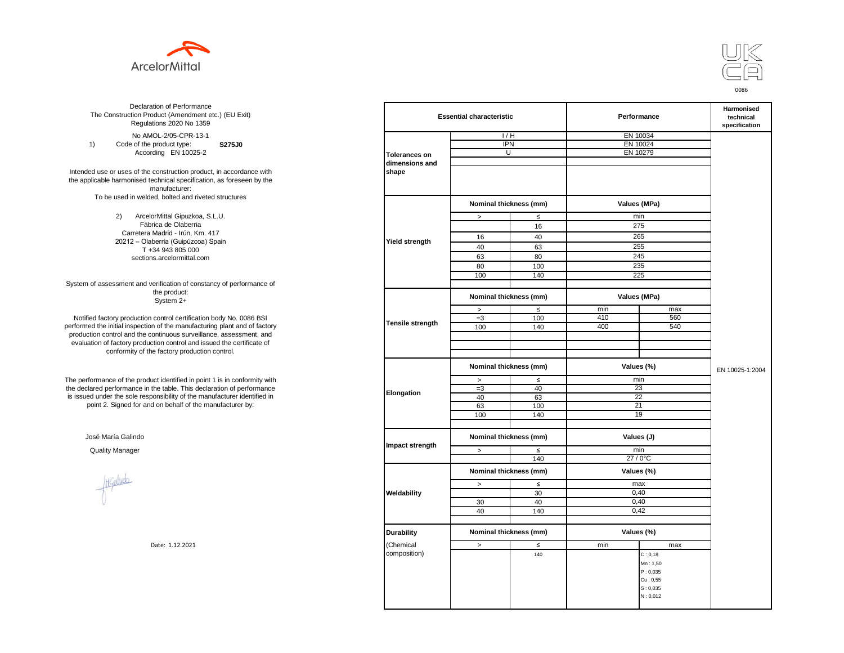



**S275J0**  No AMOL-2/05-CPR-13-1 1) Code of the product type: According EN 10025-2

Intended use or uses of the construction product, in accordance with the applicable harmonised technical specification, as foreseen by the manufacturer: To be used in welded, bolted and riveted structures

> 2) ArcelorMittal Gipuzkoa, S.L.U. Fábrica de Olaberria Carretera Madrid - Irún, Km. 417 20212 – Olaberria (Guipúzcoa) Spain T +34 943 805 000 sections.arcelormittal.com

System of assessment and verification of constancy of performance of the product: System 2+

Notified factory production control certification body No. 0086 BSI performed the initial inspection of the manufacturing plant and of factory production control and the continuous surveillance, assessment, and evaluation of factory production control and issued the certificate of conformity of the factory production control.

The performance of the product identified in point 1 is in conformity with the declared performance in the table. This declaration of performance is issued under the sole responsibility of the manufacturer identified in point 2. Signed for and on behalf of the manufacturer by:

José María Galindo

Healudo

| ation of Performance<br>oduct (Amendment etc.) (EU Exit)<br>ations 2020 No 1359 |                      | <b>Essential characteristic</b> |        |            | Performance  |                 |  |
|---------------------------------------------------------------------------------|----------------------|---------------------------------|--------|------------|--------------|-----------------|--|
| 10L-2/05-CPR-13-1                                                               |                      | 1/H                             |        | EN 10034   |              |                 |  |
| product type:<br><b>S275J0</b>                                                  |                      | <b>IPN</b>                      |        | EN 10024   |              |                 |  |
| rding EN 10025-2                                                                | <b>Tolerances on</b> | $\overline{U}$                  |        |            | EN 10279     |                 |  |
|                                                                                 | dimensions and       |                                 |        |            |              |                 |  |
| construction product, in accordance with                                        | shape                |                                 |        |            |              |                 |  |
| echnical specification, as foreseen by the                                      |                      |                                 |        |            |              |                 |  |
| manufacturer:                                                                   |                      |                                 |        |            |              |                 |  |
| ed, bolted and riveted structures                                               |                      |                                 |        |            |              |                 |  |
|                                                                                 |                      | Nominal thickness (mm)          |        |            | Values (MPa) |                 |  |
|                                                                                 |                      |                                 |        |            |              |                 |  |
| orMittal Gipuzkoa, S.L.U.                                                       |                      | $\, >$                          | $\leq$ | min        |              |                 |  |
| rica de Olaberria                                                               |                      |                                 | 16     | 275        |              |                 |  |
| Madrid - Irún, Km. 417                                                          |                      | 16                              | 40     | 265        |              |                 |  |
| berria (Guipúzcoa) Spain                                                        | Yield strength       | 40                              | 63     | 255        |              |                 |  |
| -34 943 805 000                                                                 |                      | 63                              | 80     | 245        |              |                 |  |
| ns.arcelormittal.com                                                            |                      | 80                              | 100    |            | 235          |                 |  |
|                                                                                 |                      |                                 |        |            |              |                 |  |
|                                                                                 |                      | 100                             | 140    | 225        |              |                 |  |
| verification of constancy of performance of                                     |                      |                                 |        |            |              |                 |  |
| the product:                                                                    |                      | Nominal thickness (mm)          |        |            | Values (MPa) |                 |  |
| System 2+                                                                       |                      |                                 |        |            |              |                 |  |
|                                                                                 |                      | $\, >$                          | $\leq$ | min        | max          |                 |  |
| control certification body No. 0086 BSI                                         | Tensile strength     | $=3$                            | 100    | 410        | 560          |                 |  |
| in of the manufacturing plant and of factory                                    |                      | 100                             | 140    | 400        | 540          |                 |  |
| ontinuous surveillance, assessment, and                                         |                      |                                 |        |            |              |                 |  |
| ction control and issued the certificate of                                     |                      |                                 |        |            |              |                 |  |
| e factory production control.                                                   |                      |                                 |        |            |              |                 |  |
|                                                                                 |                      | Nominal thickness (mm)          |        | Values (%) |              | EN 10025-1:2004 |  |
| uct identified in point 1 is in conformity with                                 |                      | $\, >$                          | $\leq$ | min        |              |                 |  |
| the table. This declaration of performance                                      |                      | $=3$                            | 40     | 23         |              |                 |  |
| ponsibility of the manufacturer identified in                                   | Elongation           | 40                              | 63     |            | 22           |                 |  |
| d on behalf of the manufacturer by:                                             |                      | 63                              | 100    | 21         |              |                 |  |
|                                                                                 |                      | 100                             | 140    |            | 19           |                 |  |
|                                                                                 |                      |                                 |        |            |              |                 |  |
|                                                                                 |                      |                                 |        | Values (J) |              |                 |  |
|                                                                                 |                      | Nominal thickness (mm)          |        |            |              |                 |  |
|                                                                                 | Impact strength      | $\geq$                          | $\leq$ | min        |              |                 |  |
|                                                                                 |                      |                                 | 140    | 27 / 0°C   |              |                 |  |
|                                                                                 |                      | Nominal thickness (mm)          |        |            | Values (%)   |                 |  |
|                                                                                 |                      |                                 |        |            |              |                 |  |
|                                                                                 |                      | $\,>$                           | $\leq$ | max        |              |                 |  |
|                                                                                 | Weldability          |                                 | 30     | 0,40       |              |                 |  |
|                                                                                 |                      | 30                              | 40     |            | 0,40         |                 |  |
|                                                                                 |                      | 40                              | 140    |            | 0,42         |                 |  |
|                                                                                 |                      |                                 |        |            |              |                 |  |
|                                                                                 | <b>Durability</b>    | Nominal thickness (mm)          |        | Values (%) |              |                 |  |
|                                                                                 |                      |                                 |        |            |              |                 |  |
| Date: 1.12.2021                                                                 | Chemical             | $\, > \,$                       | $\leq$ | min        | max          |                 |  |
|                                                                                 | composition)         |                                 | 140    |            | C: 0, 18     |                 |  |
|                                                                                 |                      |                                 |        |            | Mn: 1,50     |                 |  |
|                                                                                 |                      |                                 |        |            | P: 0,035     |                 |  |
|                                                                                 |                      |                                 |        |            | Cu: 0,55     |                 |  |
|                                                                                 |                      |                                 |        |            | S: 0,035     |                 |  |
|                                                                                 |                      |                                 |        |            | N: 0,012     |                 |  |
|                                                                                 |                      |                                 |        |            |              |                 |  |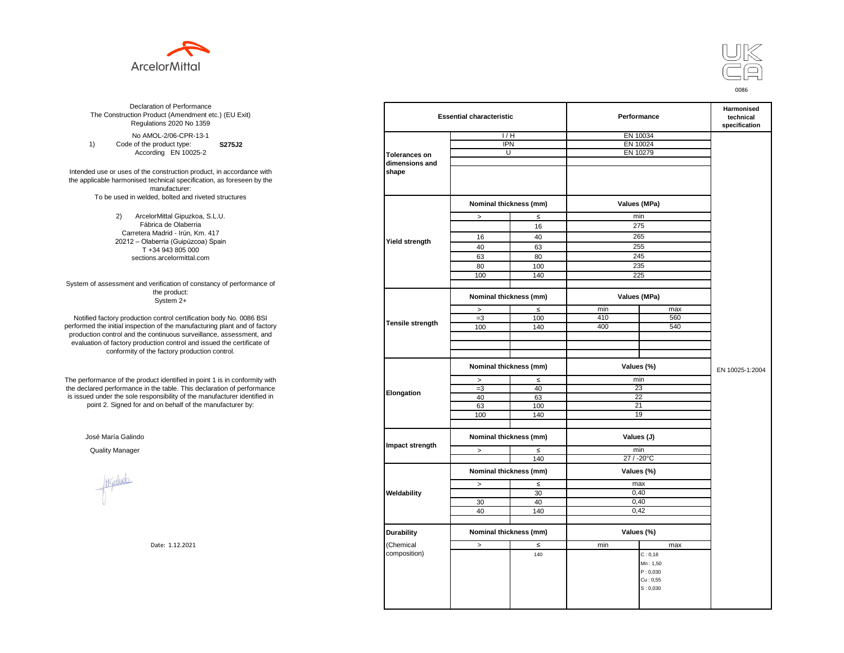



**S275J2**  No AMOL-2/06-CPR-13-1 1) Code of the product type: According EN 10025-2

Intended use or uses of the construction product, in accordance with the applicable harmonised technical specification, as foreseen by the manufacturer: To be used in welded, bolted and riveted structures

> 2) ArcelorMittal Gipuzkoa, S.L.U. Fábrica de Olaberria Carretera Madrid - Irún, Km. 417 20212 – Olaberria (Guipúzcoa) Spain T +34 943 805 000 sections.arcelormittal.com

System of assessment and verification of constancy of performance of the product: System 2+

Notified factory production control certification body No. 0086 BSI performed the initial inspection of the manufacturing plant and of factory production control and the continuous surveillance, assessment, and evaluation of factory production control and issued the certificate of conformity of the factory production control.

The performance of the product identified in point 1 is in conformity with the declared performance in the table. This declaration of performance is issued under the sole responsibility of the manufacturer identified in point 2. Signed for and on behalf of the manufacturer by:

José María Galindo

Healudo

| ation of Performance<br>oduct (Amendment etc.) (EU Exit)<br>ations 2020 No 1359 | <b>Essential characteristic</b> |                        |        | Performance  | Harmonised<br>technical<br>specification |                 |
|---------------------------------------------------------------------------------|---------------------------------|------------------------|--------|--------------|------------------------------------------|-----------------|
| 10L-2/06-CPR-13-1                                                               |                                 | 1/H                    |        | EN 10034     |                                          |                 |
| product type:<br>S275J2                                                         |                                 | <b>IPN</b>             |        | EN 10024     |                                          |                 |
| rding EN 10025-2                                                                | <b>Tolerances on</b>            | $\overline{U}$         |        | EN 10279     |                                          |                 |
|                                                                                 | dimensions and                  |                        |        |              |                                          |                 |
| construction product, in accordance with                                        | shape                           |                        |        |              |                                          |                 |
| echnical specification, as foreseen by the                                      |                                 |                        |        |              |                                          |                 |
| manufacturer:                                                                   |                                 |                        |        |              |                                          |                 |
| ed, bolted and riveted structures                                               |                                 |                        |        |              |                                          |                 |
|                                                                                 |                                 | Nominal thickness (mm) |        | Values (MPa) |                                          |                 |
| orMittal Gipuzkoa, S.L.U.                                                       |                                 | $\, >$                 | $\leq$ | min          |                                          |                 |
| rica de Olaberria                                                               |                                 |                        | 16     | 275          |                                          |                 |
| Madrid - Irún, Km. 417                                                          | Yield strength                  |                        |        |              |                                          |                 |
| berria (Guipúzcoa) Spain                                                        |                                 | 16                     | 40     | 265          |                                          |                 |
| -34 943 805 000                                                                 |                                 | 40                     | 63     | 255          |                                          |                 |
| ns.arcelormittal.com                                                            |                                 | 63                     | 80     | 245          |                                          |                 |
|                                                                                 |                                 | 80                     | 100    | 235          |                                          |                 |
|                                                                                 |                                 | 100                    | 140    | 225          |                                          |                 |
| verification of constancy of performance of                                     |                                 |                        |        |              |                                          |                 |
| the product:<br>System 2+                                                       |                                 | Nominal thickness (mm) |        | Values (MPa) |                                          |                 |
|                                                                                 |                                 | $\, >$                 | $\leq$ | min          | max                                      |                 |
| control certification body No. 0086 BSI                                         |                                 | $=3$                   | 100    | 410          | 560                                      |                 |
| in of the manufacturing plant and of factory                                    | Tensile strength                | 100                    | 140    | 400          | 540                                      |                 |
| ontinuous surveillance, assessment, and                                         |                                 |                        |        |              |                                          |                 |
| ction control and issued the certificate of                                     |                                 |                        |        |              |                                          |                 |
| e factory production control.                                                   |                                 |                        |        |              |                                          |                 |
|                                                                                 |                                 |                        |        |              |                                          |                 |
|                                                                                 |                                 | Nominal thickness (mm) |        | Values (%)   |                                          | EN 10025-1:2004 |
| uct identified in point 1 is in conformity with                                 |                                 | $\, >$                 | $\leq$ | min          |                                          |                 |
| the table. This declaration of performance                                      |                                 | $=3$                   | 40     | 23           |                                          |                 |
| ponsibility of the manufacturer identified in                                   | Elongation                      | 40                     | 63     | 22           |                                          |                 |
| d on behalf of the manufacturer by:                                             |                                 | 63                     | 100    | 21           |                                          |                 |
|                                                                                 |                                 | 100                    | 140    | 19           |                                          |                 |
|                                                                                 |                                 |                        |        |              |                                          |                 |
|                                                                                 |                                 |                        |        |              |                                          |                 |
|                                                                                 |                                 | Nominal thickness (mm) |        | Values (J)   |                                          |                 |
|                                                                                 | Impact strength                 | $\geq$                 | $\leq$ | min          |                                          |                 |
|                                                                                 |                                 |                        | 140    | 27 / -20°C   |                                          |                 |
|                                                                                 |                                 |                        |        |              |                                          |                 |
|                                                                                 |                                 | Nominal thickness (mm) |        | Values (%)   |                                          |                 |
|                                                                                 |                                 | $\,>$                  | $\leq$ | max          |                                          |                 |
|                                                                                 | Weldability                     |                        | 30     | 0,40         |                                          |                 |
|                                                                                 |                                 | 30                     | 40     | 0,40         |                                          |                 |
|                                                                                 |                                 | 40                     | 140    | 0,42         |                                          |                 |
|                                                                                 |                                 |                        |        |              |                                          |                 |
|                                                                                 |                                 |                        |        |              |                                          |                 |
|                                                                                 | <b>Durability</b>               | Nominal thickness (mm) |        | Values (%)   |                                          |                 |
| Date: 1.12.2021                                                                 | Chemical                        | $\, > \,$              | $\leq$ | min          | max                                      |                 |
|                                                                                 | composition)                    |                        | 140    |              | C: 0, 18                                 |                 |
|                                                                                 |                                 |                        |        |              | Mn: 1,50                                 |                 |
|                                                                                 |                                 |                        |        |              | P: 0,030                                 |                 |
|                                                                                 |                                 |                        |        |              | Cu: 0,55                                 |                 |
|                                                                                 |                                 |                        |        |              | S: 0,030                                 |                 |
|                                                                                 |                                 |                        |        |              |                                          |                 |
|                                                                                 |                                 |                        |        |              |                                          |                 |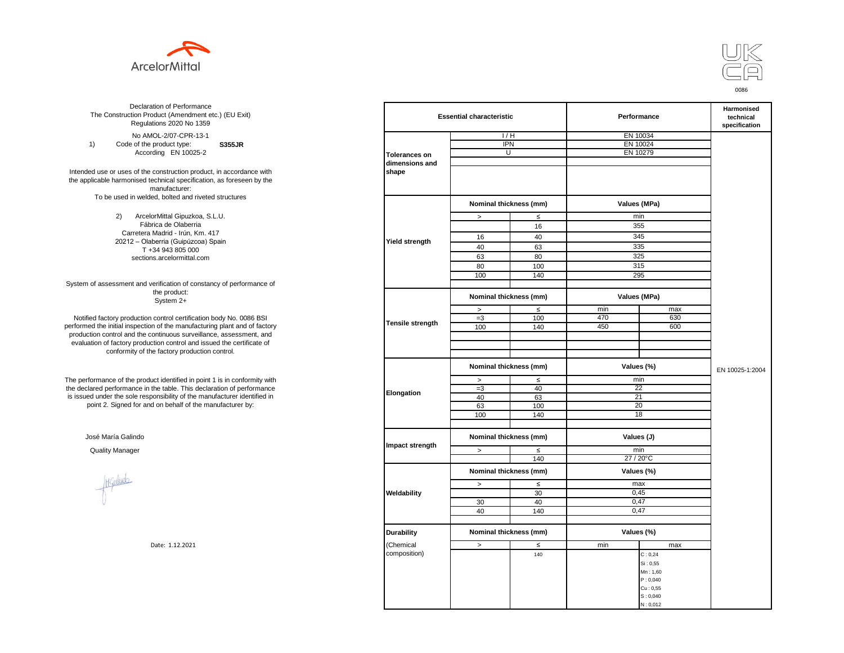



**S355JR**  No AMOL-2/07-CPR-13-1 1) Code of the product type: According EN 10025-2

Intended use or uses of the construction product, in accordance with the applicable harmonised technical specification, as foreseen by the manufacturer: To be used in welded, bolted and riveted structures

> 2) ArcelorMittal Gipuzkoa, S.L.U. Fábrica de Olaberria Carretera Madrid - Irún, Km. 417 20212 – Olaberria (Guipúzcoa) Spain T +34 943 805 000 sections.arcelormittal.com

System of assessment and verification of constancy of performance of the product: System 2+

Notified factory production control certification body No. 0086 BSI performed the initial inspection of the manufacturing plant and of factory production control and the continuous surveillance, assessment, and evaluation of factory production control and issued the certificate of conformity of the factory production control.

The performance of the product identified in point 1 is in conformity with the declared performance in the table. This declaration of performance is issued under the sole responsibility of the manufacturer identified in point 2. Signed for and on behalf of the manufacturer by:

José María Galindo

Healudo

| ation of Performance<br>oduct (Amendment etc.) (EU Exit)<br>ations 2020 No 1359 |                      | <b>Essential characteristic</b> |        |              | Performance |                 |  |
|---------------------------------------------------------------------------------|----------------------|---------------------------------|--------|--------------|-------------|-----------------|--|
| 10L-2/07-CPR-13-1                                                               |                      | 1/H                             |        | EN 10034     |             |                 |  |
| product type:<br><b>S355JR</b>                                                  |                      | <b>IPN</b>                      |        | EN 10024     |             |                 |  |
| rding EN 10025-2                                                                | <b>Tolerances on</b> | $\overline{U}$                  |        | EN 10279     |             |                 |  |
|                                                                                 | dimensions and       |                                 |        |              |             |                 |  |
| construction product, in accordance with                                        | shape                |                                 |        |              |             |                 |  |
| echnical specification, as foreseen by the                                      |                      |                                 |        |              |             |                 |  |
| manufacturer:                                                                   |                      |                                 |        |              |             |                 |  |
| ed, bolted and riveted structures                                               |                      |                                 |        |              |             |                 |  |
|                                                                                 |                      | Nominal thickness (mm)          |        | Values (MPa) |             |                 |  |
| orMittal Gipuzkoa, S.L.U.                                                       |                      | $\, >$                          | $\leq$ | min          |             |                 |  |
| rica de Olaberria                                                               |                      |                                 | 16     | 355          |             |                 |  |
| Madrid - Irún, Km. 417                                                          |                      |                                 |        |              |             |                 |  |
| berria (Guipúzcoa) Spain                                                        | Yield strength       | 16                              | 40     | 345          |             |                 |  |
| -34 943 805 000                                                                 |                      | 40                              | 63     | 335          |             |                 |  |
| ns.arcelormittal.com                                                            |                      | 63                              | 80     | 325          |             |                 |  |
|                                                                                 |                      | 80                              | 100    | 315          |             |                 |  |
|                                                                                 |                      | 100                             | 140    | 295          |             |                 |  |
| verification of constancy of performance of                                     |                      |                                 |        |              |             |                 |  |
| the product:<br>System 2+                                                       |                      | Nominal thickness (mm)          |        | Values (MPa) |             |                 |  |
|                                                                                 |                      | $\, >$                          | $\leq$ | min          | max         |                 |  |
| control certification body No. 0086 BSI                                         |                      | $=3$                            | 100    | 470          | 630         |                 |  |
| in of the manufacturing plant and of factory                                    | Tensile strength     | 100                             | 140    | 450          | 600         |                 |  |
| ontinuous surveillance, assessment, and                                         |                      |                                 |        |              |             |                 |  |
| ction control and issued the certificate of                                     |                      |                                 |        |              |             |                 |  |
| e factory production control.                                                   |                      |                                 |        |              |             |                 |  |
|                                                                                 |                      | Nominal thickness (mm)          |        | Values (%)   |             | EN 10025-1:2004 |  |
| uct identified in point 1 is in conformity with                                 |                      | $\, >$                          | $\leq$ | min          |             |                 |  |
| the table. This declaration of performance                                      |                      | $=3$                            | 40     | 22           |             |                 |  |
| ponsibility of the manufacturer identified in                                   | Elongation           | 40                              | 63     | 21           |             |                 |  |
| d on behalf of the manufacturer by:                                             |                      | 63                              | 100    | 20           |             |                 |  |
|                                                                                 |                      | 100                             | 140    | 18           |             |                 |  |
|                                                                                 |                      |                                 |        |              |             |                 |  |
|                                                                                 |                      | Nominal thickness (mm)          |        | Values (J)   |             |                 |  |
|                                                                                 | Impact strength      | $\geq$                          | $\leq$ | min          |             |                 |  |
|                                                                                 |                      |                                 | 140    | 27 / 20°C    |             |                 |  |
|                                                                                 |                      |                                 |        |              |             |                 |  |
|                                                                                 |                      | Nominal thickness (mm)          |        | Values (%)   |             |                 |  |
|                                                                                 |                      | $\,>$                           | $\leq$ | max          |             |                 |  |
|                                                                                 | Weldability          |                                 | 30     | 0,45         |             |                 |  |
|                                                                                 |                      | 30                              | 40     | 0,47         |             |                 |  |
|                                                                                 |                      | 40                              | 140    | 0,47         |             |                 |  |
|                                                                                 |                      |                                 |        |              |             |                 |  |
|                                                                                 |                      |                                 |        |              |             |                 |  |
|                                                                                 | <b>Durability</b>    | Nominal thickness (mm)          |        | Values (%)   |             |                 |  |
| Date: 1.12.2021                                                                 | Chemical             | $\, > \,$                       | $\leq$ | min          | max         |                 |  |
|                                                                                 | composition)         |                                 | 140    |              | C: 0,24     |                 |  |
|                                                                                 |                      |                                 |        |              | Si: 0,55    |                 |  |
|                                                                                 |                      |                                 |        |              | Mn: 1,60    |                 |  |
|                                                                                 |                      |                                 |        |              | P: 0,040    |                 |  |
|                                                                                 |                      |                                 |        |              | Cu: 0,55    |                 |  |
|                                                                                 |                      |                                 |        |              | S: 0,040    |                 |  |
|                                                                                 |                      |                                 |        |              | N: 0,012    |                 |  |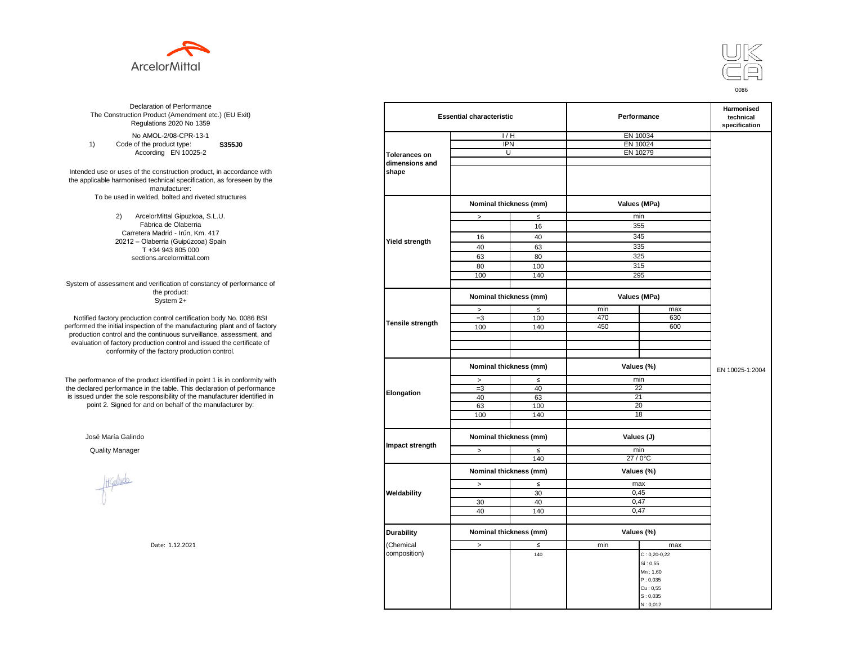



**S355J0**  No AMOL-2/08-CPR-13-1 1) Code of the product type: According EN 10025-2

Intended use or uses of the construction product, in accordance with the applicable harmonised technical specification, as foreseen by the manufacturer: To be used in welded, bolted and riveted structures

> 2) ArcelorMittal Gipuzkoa, S.L.U. Fábrica de Olaberria Carretera Madrid - Irún, Km. 417 20212 – Olaberria (Guipúzcoa) Spain T +34 943 805 000 sections.arcelormittal.com

System of assessment and verification of constancy of performance of the product: System 2+

Notified factory production control certification body No. 0086 BSI performed the initial inspection of the manufacturing plant and of factory production control and the continuous surveillance, assessment, and evaluation of factory production control and issued the certificate of conformity of the factory production control.

The performance of the product identified in point 1 is in conformity with the declared performance in the table. This declaration of performance is issued under the sole responsibility of the manufacturer identified in point 2. Signed for and on behalf of the manufacturer by:

José María Galindo

Healudo

| ation of Performance<br>oduct (Amendment etc.) (EU Exit)<br>ations 2020 No 1359 |                      | <b>Essential characteristic</b> |                                      | Performance |                    | Harmonised<br>technical<br>specification |
|---------------------------------------------------------------------------------|----------------------|---------------------------------|--------------------------------------|-------------|--------------------|------------------------------------------|
| 10L-2/08-CPR-13-1                                                               |                      | 1/H                             |                                      |             | EN 10034           |                                          |
| product type:<br>S355J0                                                         |                      | <b>IPN</b>                      |                                      | EN 10024    |                    |                                          |
| rding EN 10025-2                                                                | <b>Tolerances on</b> | U                               |                                      |             | EN 10279           |                                          |
|                                                                                 | dimensions and       |                                 |                                      |             |                    |                                          |
| construction product, in accordance with                                        | shape                |                                 |                                      |             |                    |                                          |
| echnical specification, as foreseen by the                                      |                      |                                 |                                      |             |                    |                                          |
| manufacturer:                                                                   |                      |                                 |                                      |             |                    |                                          |
| ed, bolted and riveted structures                                               |                      |                                 |                                      |             |                    |                                          |
|                                                                                 |                      | Nominal thickness (mm)          |                                      |             | Values (MPa)       |                                          |
| orMittal Gipuzkoa, S.L.U.                                                       |                      | $\, >$                          | $\leq$                               | min         |                    |                                          |
| rica de Olaberria                                                               |                      |                                 | 16                                   |             | 355                |                                          |
| Madrid - Irún, Km. 417                                                          |                      |                                 |                                      |             |                    |                                          |
| berria (Guipúzcoa) Spain                                                        | Yield strength       | 16                              | 40                                   |             | 345                |                                          |
| -34 943 805 000                                                                 |                      | 40                              | 63                                   |             | 335                |                                          |
| ns.arcelormittal.com                                                            |                      | 63                              | 80                                   |             | 325                |                                          |
|                                                                                 |                      | 80                              | 100                                  |             | 315                |                                          |
|                                                                                 |                      | 100                             | 140                                  |             | 295                |                                          |
| verification of constancy of performance of                                     |                      |                                 |                                      |             |                    |                                          |
| the product:<br>System 2+                                                       |                      | Nominal thickness (mm)          |                                      |             | Values (MPa)       |                                          |
|                                                                                 |                      | $\,$                            | $\leq$                               | min         | max                |                                          |
| control certification body No. 0086 BSI                                         |                      | $=3$                            | 100                                  | 470         | 630                |                                          |
| in of the manufacturing plant and of factory                                    | Tensile strength     | 100                             | 140                                  | 450         | 600                |                                          |
| ontinuous surveillance, assessment, and                                         |                      |                                 |                                      |             |                    |                                          |
| ction control and issued the certificate of                                     |                      |                                 |                                      |             |                    |                                          |
| e factory production control.                                                   |                      |                                 |                                      |             |                    |                                          |
|                                                                                 |                      | Nominal thickness (mm)          |                                      |             | Values (%)         | EN 10025-1:2004                          |
| uct identified in point 1 is in conformity with                                 |                      | $\rightarrow$                   | $\leq$                               | min         |                    |                                          |
| the table. This declaration of performance                                      |                      | $=3$                            | 40                                   |             | 22                 |                                          |
| ponsibility of the manufacturer identified in                                   | Elongation           | 40                              | 63                                   |             | 21                 |                                          |
| d on behalf of the manufacturer by:                                             |                      | 63                              | 100                                  |             | 20                 |                                          |
|                                                                                 |                      | 100                             | 140                                  |             | 18                 |                                          |
|                                                                                 |                      |                                 |                                      |             |                    |                                          |
|                                                                                 |                      |                                 | Nominal thickness (mm)<br>Values (J) |             |                    |                                          |
|                                                                                 | Impact strength      | $\, >$                          | $\leq$                               |             | min                |                                          |
|                                                                                 |                      |                                 | 140                                  |             | 27 / 0°C           |                                          |
|                                                                                 |                      | Nominal thickness (mm)          |                                      |             | Values (%)         |                                          |
|                                                                                 |                      | $\, >$                          | $\leq$                               | max         |                    |                                          |
|                                                                                 | Weldability          |                                 | 30                                   |             | 0,45               |                                          |
|                                                                                 |                      | 30                              | 40                                   |             | 0,47               |                                          |
|                                                                                 |                      | 40                              | 140                                  |             | 0,47               |                                          |
|                                                                                 |                      |                                 |                                      |             |                    |                                          |
|                                                                                 |                      |                                 |                                      |             |                    |                                          |
|                                                                                 | <b>Durability</b>    | Nominal thickness (mm)          |                                      |             | Values (%)         |                                          |
| Date: 1.12.2021                                                                 | (Chemical            | $\, > \,$                       | $\leq$                               | min         | max                |                                          |
|                                                                                 | composition)         |                                 | 140                                  |             | $C: 0, 20 - 0, 22$ |                                          |
|                                                                                 |                      |                                 |                                      |             | Si: 0,55           |                                          |
|                                                                                 |                      |                                 |                                      |             | Mn: 1,60           |                                          |
|                                                                                 |                      |                                 |                                      |             | P: 0,035           |                                          |
|                                                                                 |                      |                                 |                                      |             | Cu: 0,55           |                                          |
|                                                                                 |                      |                                 |                                      |             | S: 0,035           |                                          |
|                                                                                 |                      |                                 |                                      |             | N: 0,012           |                                          |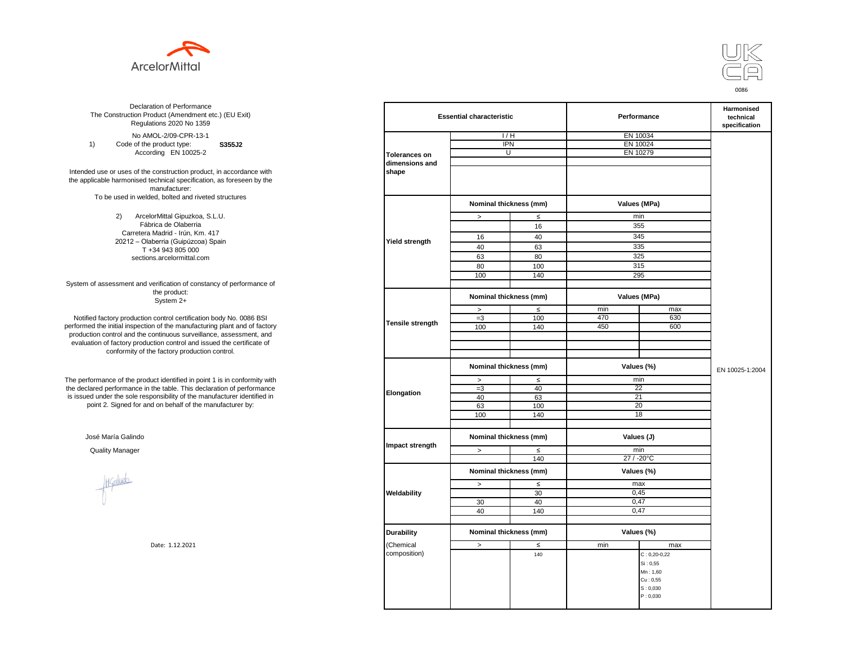



**S355J2**  No AMOL-2/09-CPR-13-1 1) Code of the product type: According EN 10025-2

Intended use or uses of the construction product, in accordance with the applicable harmonised technical specification, as foreseen by the manufacturer: To be used in welded, bolted and riveted structures

> 2) ArcelorMittal Gipuzkoa, S.L.U. Fábrica de Olaberria Carretera Madrid - Irún, Km. 417 20212 – Olaberria (Guipúzcoa) Spain T +34 943 805 000 sections.arcelormittal.com

System of assessment and verification of constancy of performance of the product: System 2+

Notified factory production control certification body No. 0086 BSI performed the initial inspection of the manufacturing plant and of factory production control and the continuous surveillance, assessment, and evaluation of factory production control and issued the certificate of conformity of the factory production control.

The performance of the product identified in point 1 is in conformity with the declared performance in the table. This declaration of performance is issued under the sole responsibility of the manufacturer identified in point 2. Signed for and on behalf of the manufacturer by:

José María Galindo

Healudo

| ation of Performance<br>oduct (Amendment etc.) (EU Exit)<br>ations 2020 No 1359 | <b>Essential characteristic</b> |                                      |        | Performance | Harmonised<br>technical<br>specification |                 |
|---------------------------------------------------------------------------------|---------------------------------|--------------------------------------|--------|-------------|------------------------------------------|-----------------|
| 10L-2/09-CPR-13-1                                                               |                                 | 1/H                                  |        | EN 10034    |                                          |                 |
| product type:<br>S355J2                                                         |                                 | <b>IPN</b>                           |        | EN 10024    |                                          |                 |
| rding EN 10025-2                                                                | <b>Tolerances on</b>            | $\overline{U}$                       |        |             | EN 10279                                 |                 |
|                                                                                 | dimensions and                  |                                      |        |             |                                          |                 |
| construction product, in accordance with                                        | shape                           |                                      |        |             |                                          |                 |
| echnical specification, as foreseen by the                                      |                                 |                                      |        |             |                                          |                 |
| manufacturer:                                                                   |                                 |                                      |        |             |                                          |                 |
| ed, bolted and riveted structures                                               |                                 |                                      |        |             |                                          |                 |
|                                                                                 |                                 | Nominal thickness (mm)               |        |             | Values (MPa)                             |                 |
| orMittal Gipuzkoa, S.L.U.                                                       |                                 | $\, >$                               | $\leq$ | min         |                                          |                 |
| rica de Olaberria                                                               |                                 |                                      | 16     | 355         |                                          |                 |
| Madrid - Irún, Km. 417                                                          |                                 |                                      |        |             |                                          |                 |
| berria (Guipúzcoa) Spain                                                        | Yield strength                  | 16                                   | 40     | 345         |                                          |                 |
| -34 943 805 000                                                                 |                                 | 40                                   | 63     | 335         |                                          |                 |
| ns.arcelormittal.com                                                            |                                 | 63                                   | 80     | 325         |                                          |                 |
|                                                                                 |                                 | 80                                   | 100    |             | 315                                      |                 |
|                                                                                 |                                 | 100                                  | 140    | 295         |                                          |                 |
| verification of constancy of performance of                                     |                                 |                                      |        |             |                                          |                 |
| the product:<br>System 2+                                                       |                                 | Nominal thickness (mm)               |        |             | Values (MPa)                             |                 |
|                                                                                 |                                 | $\, >$                               | $\leq$ | min         | max                                      |                 |
| control certification body No. 0086 BSI                                         |                                 | $=3$                                 | 100    | 470         | 630                                      |                 |
| in of the manufacturing plant and of factory                                    | Tensile strength                | 100                                  | 140    | 450         | 600                                      |                 |
| ontinuous surveillance, assessment, and                                         |                                 |                                      |        |             |                                          |                 |
| ction control and issued the certificate of                                     |                                 |                                      |        |             |                                          |                 |
| e factory production control.                                                   |                                 |                                      |        |             |                                          |                 |
|                                                                                 |                                 | Nominal thickness (mm)               |        | Values (%)  |                                          | EN 10025-1:2004 |
| uct identified in point 1 is in conformity with                                 |                                 | $\, >$                               | $\leq$ | min         |                                          |                 |
| the table. This declaration of performance                                      |                                 | $=3$                                 | 40     |             | 22                                       |                 |
| ponsibility of the manufacturer identified in                                   | Elongation                      | 40                                   | 63     | 21          |                                          |                 |
| d on behalf of the manufacturer by:                                             |                                 | 63                                   | 100    |             | 20                                       |                 |
|                                                                                 |                                 | 100                                  | 140    |             | 18                                       |                 |
|                                                                                 |                                 |                                      |        |             |                                          |                 |
|                                                                                 |                                 | Nominal thickness (mm)<br>Values (J) |        |             |                                          |                 |
|                                                                                 | Impact strength                 | $\geq$                               | $\leq$ | min         |                                          |                 |
|                                                                                 |                                 |                                      | 140    | 27 / -20°C  |                                          |                 |
|                                                                                 |                                 | Nominal thickness (mm)               |        | Values (%)  |                                          |                 |
|                                                                                 |                                 | $\,>$                                | $\leq$ | max         |                                          |                 |
|                                                                                 | Weldability                     |                                      | 30     | 0,45        |                                          |                 |
|                                                                                 |                                 | 30                                   | 40     | 0,47        |                                          |                 |
|                                                                                 |                                 | 40                                   | 140    | 0,47        |                                          |                 |
|                                                                                 |                                 |                                      |        |             |                                          |                 |
|                                                                                 |                                 |                                      |        |             |                                          |                 |
|                                                                                 | <b>Durability</b>               | Nominal thickness (mm)               |        | Values (%)  |                                          |                 |
| Date: 1.12.2021                                                                 | Chemical                        | $\, > \,$                            | $\leq$ | min         | max                                      |                 |
|                                                                                 | composition)                    |                                      | 140    |             | $C: 0, 20-0, 22$                         |                 |
|                                                                                 |                                 |                                      |        |             | Si: 0,55                                 |                 |
|                                                                                 |                                 |                                      |        |             | Mn: 1,60                                 |                 |
|                                                                                 |                                 |                                      |        |             | Cu: 0,55                                 |                 |
|                                                                                 |                                 |                                      |        |             | S: 0,030                                 |                 |
|                                                                                 |                                 |                                      |        |             | P: 0,030                                 |                 |
|                                                                                 |                                 |                                      |        |             |                                          |                 |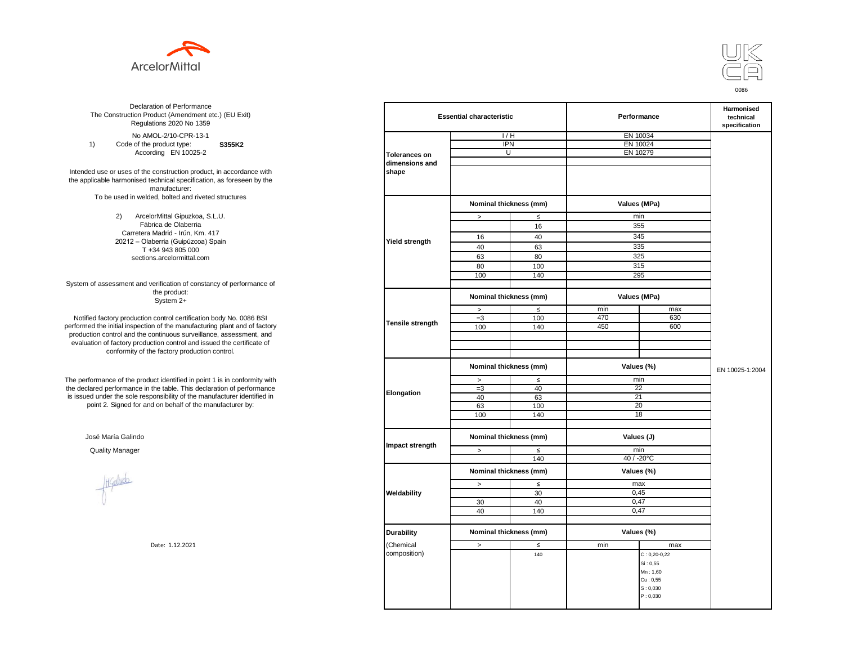



**S355K2**  No AMOL-2/10-CPR-13-1 1) Code of the product type: According EN 10025-2

Intended use or uses of the construction product, in accordance with the applicable harmonised technical specification, as foreseen by the manufacturer: To be used in welded, bolted and riveted structures

> 2) ArcelorMittal Gipuzkoa, S.L.U. Fábrica de Olaberria Carretera Madrid - Irún, Km. 417 20212 – Olaberria (Guipúzcoa) Spain T +34 943 805 000 sections.arcelormittal.com

System of assessment and verification of constancy of performance of the product: System 2+

Notified factory production control certification body No. 0086 BSI performed the initial inspection of the manufacturing plant and of factory production control and the continuous surveillance, assessment, and evaluation of factory production control and issued the certificate of conformity of the factory production control.

The performance of the product identified in point 1 is in conformity with the declared performance in the table. This declaration of performance is issued under the sole responsibility of the manufacturer identified in point 2. Signed for and on behalf of the manufacturer by:

José María Galindo

Healudo

| ation of Performance<br>oduct (Amendment etc.) (EU Exit)<br>ations 2020 No 1359 |                      | <b>Essential characteristic</b> |        | Performance |                      | Harmonised<br>technical<br>specification |
|---------------------------------------------------------------------------------|----------------------|---------------------------------|--------|-------------|----------------------|------------------------------------------|
| 10L-2/10-CPR-13-1                                                               |                      | 1/H                             |        |             | EN 10034             |                                          |
| product type:<br>S355K2                                                         |                      | <b>IPN</b>                      |        | EN 10024    |                      |                                          |
| rding EN 10025-2                                                                | <b>Tolerances on</b> | $\overline{U}$                  |        |             | EN 10279             |                                          |
|                                                                                 | dimensions and       |                                 |        |             |                      |                                          |
| construction product, in accordance with                                        | shape                |                                 |        |             |                      |                                          |
| echnical specification, as foreseen by the                                      |                      |                                 |        |             |                      |                                          |
| manufacturer:                                                                   |                      |                                 |        |             |                      |                                          |
| ed, bolted and riveted structures                                               |                      |                                 |        |             |                      |                                          |
|                                                                                 |                      | Nominal thickness (mm)          |        |             | Values (MPa)         |                                          |
|                                                                                 |                      |                                 |        |             |                      |                                          |
| orMittal Gipuzkoa, S.L.U.<br>rica de Olaberria                                  |                      | $\, >$                          | $\leq$ |             | min                  |                                          |
| Madrid - Irún, Km. 417                                                          |                      |                                 | 16     |             | 355                  |                                          |
|                                                                                 |                      | 16                              | 40     |             | 345                  |                                          |
| berria (Guipúzcoa) Spain<br>-34 943 805 000                                     | Yield strength       | 40                              | 63     |             | 335                  |                                          |
|                                                                                 |                      | 63                              | 80     |             | 325                  |                                          |
| ns.arcelormittal.com                                                            |                      |                                 |        |             | 315                  |                                          |
|                                                                                 |                      | 80                              | 100    |             |                      |                                          |
|                                                                                 |                      | 100                             | 140    |             | 295                  |                                          |
| verification of constancy of performance of<br>the product:                     |                      |                                 |        |             |                      |                                          |
| System 2+                                                                       |                      | Nominal thickness (mm)          |        |             | Values (MPa)         |                                          |
|                                                                                 |                      | $\, >$                          | $\leq$ | min         | max                  |                                          |
| control certification body No. 0086 BSI                                         | Tensile strength     | $=3$                            | 100    | 470         | 630                  |                                          |
| in of the manufacturing plant and of factory                                    |                      | 100                             | 140    | 450         | 600                  |                                          |
| ontinuous surveillance, assessment, and                                         |                      |                                 |        |             |                      |                                          |
| ction control and issued the certificate of                                     |                      |                                 |        |             |                      |                                          |
| e factory production control.                                                   |                      |                                 |        |             |                      |                                          |
|                                                                                 |                      | Nominal thickness (mm)          |        |             | Values (%)           |                                          |
|                                                                                 |                      |                                 |        |             |                      | EN 10025-1:2004                          |
| uct identified in point 1 is in conformity with                                 |                      | $\, >$                          | $\leq$ | min         |                      |                                          |
| the table. This declaration of performance                                      | Elongation           | $=3$                            | 40     |             | 22                   |                                          |
| ponsibility of the manufacturer identified in                                   |                      | 40                              | 63     | 21          |                      |                                          |
| d on behalf of the manufacturer by:                                             |                      | 63                              | 100    |             | 20                   |                                          |
|                                                                                 |                      | 100                             | 140    |             | 18                   |                                          |
|                                                                                 |                      |                                 |        |             |                      |                                          |
|                                                                                 |                      | Nominal thickness (mm)          |        | Values (J)  |                      |                                          |
|                                                                                 | Impact strength      |                                 |        |             |                      |                                          |
|                                                                                 |                      | $\geq$                          | $\leq$ |             | min                  |                                          |
|                                                                                 |                      |                                 | 140    |             | 40 / -20°C           |                                          |
|                                                                                 |                      | Nominal thickness (mm)          |        |             | Values (%)           |                                          |
|                                                                                 |                      |                                 |        |             |                      |                                          |
|                                                                                 |                      | $\,>$                           | $\leq$ | max         |                      |                                          |
|                                                                                 | Weldability          |                                 | 30     | 0,45        |                      |                                          |
|                                                                                 |                      | 30                              | 40     | 0,47        |                      |                                          |
|                                                                                 |                      | 40                              | 140    |             | 0,47                 |                                          |
|                                                                                 |                      |                                 |        |             |                      |                                          |
|                                                                                 | <b>Durability</b>    | Nominal thickness (mm)          |        |             | Values (%)           |                                          |
| Date: 1.12.2021                                                                 | Chemical             | $\, > \,$                       | $\leq$ | min         | max                  |                                          |
|                                                                                 | composition)         |                                 | 140    |             | $C: 0, 20-0, 22$     |                                          |
|                                                                                 |                      |                                 |        |             |                      |                                          |
|                                                                                 |                      |                                 |        |             | Si: 0,55<br>Mn: 1,60 |                                          |
|                                                                                 |                      |                                 |        |             | Cu: 0,55             |                                          |
|                                                                                 |                      |                                 |        |             |                      |                                          |
|                                                                                 |                      |                                 |        |             | S: 0,030<br>P: 0,030 |                                          |
|                                                                                 |                      |                                 |        |             |                      |                                          |
|                                                                                 |                      |                                 |        |             |                      |                                          |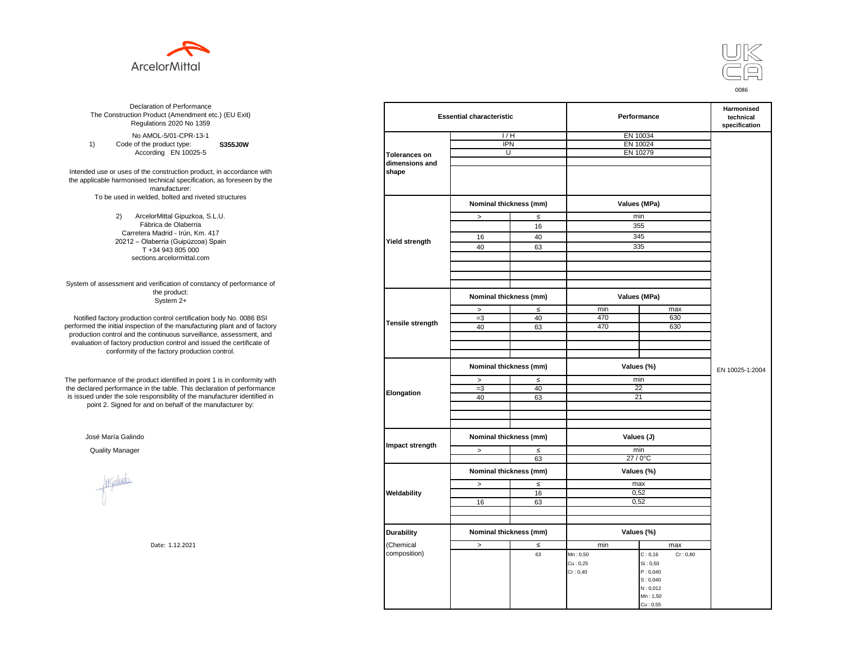



**S355J0W**  No AMOL-5/01-CPR-13-1 1) Code of the product type: According EN 10025-5

Intended use or uses of the construction product, in accordance with the applicable harmonised technical specification, as foreseen by the manufacturer: To be used in welded, bolted and riveted structures

> 2) ArcelorMittal Gipuzkoa, S.L.U. Fábrica de Olaberria Carretera Madrid - Irún, Km. 417 20212 – Olaberria (Guipúzcoa) Spain T +34 943 805 000 sections.arcelormittal.com

System of assessment and verification of constancy of performance of the product: System 2+

Notified factory production control certification body No. 0086 BSI performed the initial inspection of the manufacturing plant and of factory production control and the continuous surveillance, assessment, and evaluation of factory production control and issued the certificate of conformity of the factory production control.

The performance of the product identified in point 1 is in conformity with the declared performance in the table. This declaration of performance is issued under the sole responsibility of the manufacturer identified in point 2. Signed for and on behalf of the manufacturer by:

José María Galindo

Haludo

| ation of Performance<br>oduct (Amendment etc.) (EU Exit)<br>ations 2020 No 1359 |                         | <b>Essential characteristic</b> |        | Performance  |                      | Harmonised<br>technical<br>specification |
|---------------------------------------------------------------------------------|-------------------------|---------------------------------|--------|--------------|----------------------|------------------------------------------|
| 10L-5/01-CPR-13-1                                                               |                         | 1/H                             |        | EN 10034     |                      |                                          |
| product type:<br>S355J0W                                                        |                         | <b>IPN</b>                      |        | EN 10024     |                      |                                          |
| rding EN 10025-5                                                                | <b>Tolerances on</b>    | U                               |        | EN 10279     |                      |                                          |
|                                                                                 | dimensions and          |                                 |        |              |                      |                                          |
| construction product, in accordance with                                        | shape                   |                                 |        |              |                      |                                          |
| echnical specification, as foreseen by the                                      |                         |                                 |        |              |                      |                                          |
| manufacturer:                                                                   |                         |                                 |        |              |                      |                                          |
| ed, bolted and riveted structures                                               |                         |                                 |        |              |                      |                                          |
|                                                                                 |                         | Nominal thickness (mm)          |        | Values (MPa) |                      |                                          |
| orMittal Gipuzkoa, S.L.U.                                                       |                         | $\, >$                          | $\leq$ | min          |                      |                                          |
| rica de Olaberria                                                               |                         |                                 | 16     | 355          |                      |                                          |
| Madrid - Irún, Km. 417                                                          |                         |                                 |        |              |                      |                                          |
| berria (Guipúzcoa) Spain                                                        | <b>Yield strength</b>   | 16                              | 40     | 345          |                      |                                          |
| -34 943 805 000                                                                 |                         | 40                              | 63     | 335          |                      |                                          |
| ns.arcelormittal.com                                                            |                         |                                 |        |              |                      |                                          |
|                                                                                 |                         |                                 |        |              |                      |                                          |
|                                                                                 |                         |                                 |        |              |                      |                                          |
| verification of constancy of performance of                                     |                         |                                 |        |              |                      |                                          |
| the product:                                                                    |                         | Nominal thickness (mm)          |        |              |                      |                                          |
| System 2+                                                                       |                         |                                 |        | Values (MPa) |                      |                                          |
|                                                                                 |                         | $\,$                            | $\leq$ | min          | max                  |                                          |
| control certification body No. 0086 BSI                                         | <b>Tensile strength</b> | $=3$                            | 40     | 470          | 630                  |                                          |
| in of the manufacturing plant and of factory                                    |                         | 40                              | 63     | 470          | 630                  |                                          |
| ontinuous surveillance, assessment, and                                         |                         |                                 |        |              |                      |                                          |
| ction control and issued the certificate of                                     |                         |                                 |        |              |                      |                                          |
| e factory production control.                                                   |                         |                                 |        |              |                      |                                          |
|                                                                                 |                         | Nominal thickness (mm)          |        | Values (%)   |                      | EN 10025-1:2004                          |
| uct identified in point 1 is in conformity with                                 |                         | $\geq$                          | $\leq$ | min          |                      |                                          |
| the table. This declaration of performance                                      | Elongation              | $=3$                            | 40     | 22           |                      |                                          |
| ponsibility of the manufacturer identified in                                   |                         | 40                              | 63     | 21           |                      |                                          |
| d on behalf of the manufacturer by:                                             |                         |                                 |        |              |                      |                                          |
|                                                                                 |                         |                                 |        |              |                      |                                          |
|                                                                                 |                         |                                 |        |              |                      |                                          |
|                                                                                 |                         | Nominal thickness (mm)          |        | Values (J)   |                      |                                          |
|                                                                                 | Impact strength         |                                 |        |              |                      |                                          |
|                                                                                 |                         | $\, >$                          | ≤      | min          |                      |                                          |
|                                                                                 |                         |                                 | 63     | 27 / 0°C     |                      |                                          |
|                                                                                 |                         | Nominal thickness (mm)          |        | Values (%)   |                      |                                          |
|                                                                                 |                         | $\, >$                          | $\leq$ | max          |                      |                                          |
|                                                                                 | Weldability             |                                 | 16     | 0,52         |                      |                                          |
|                                                                                 |                         | 16                              | 63     | 0,52         |                      |                                          |
|                                                                                 |                         |                                 |        |              |                      |                                          |
|                                                                                 |                         |                                 |        |              |                      |                                          |
|                                                                                 |                         |                                 |        |              |                      |                                          |
|                                                                                 | <b>Durability</b>       | Nominal thickness (mm)          |        | Values (%)   |                      |                                          |
| Date: 1.12.2021                                                                 | (Chemical               | $\, >$                          | $\leq$ | min          | max                  |                                          |
|                                                                                 | composition)            |                                 | 63     | Mn: 0,50     | C: 0, 16<br>Cr: 0,80 |                                          |
|                                                                                 |                         |                                 |        | Cu: 0,25     | Si: 0,50             |                                          |
|                                                                                 |                         |                                 |        | Cr: 0,40     | P: 0,040             |                                          |
|                                                                                 |                         |                                 |        |              | S: 0,040             |                                          |
|                                                                                 |                         |                                 |        |              | N: 0,012             |                                          |
|                                                                                 |                         |                                 |        |              | Mn: 1,50             |                                          |
|                                                                                 |                         |                                 |        |              | Cu: 0,55             |                                          |